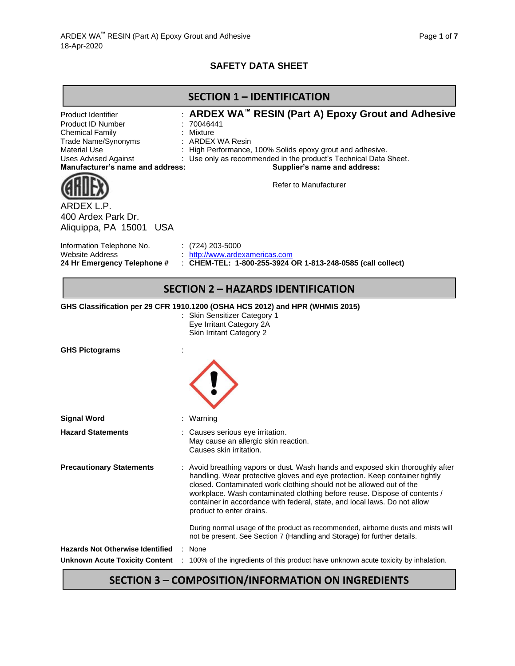# **SAFETY DATA SHEET**

|                                                                                                                                                                                           | <b>SECTION 1 - IDENTIFICATION</b>                                                                                                                                                                                                                                                                                                                                                                                          |
|-------------------------------------------------------------------------------------------------------------------------------------------------------------------------------------------|----------------------------------------------------------------------------------------------------------------------------------------------------------------------------------------------------------------------------------------------------------------------------------------------------------------------------------------------------------------------------------------------------------------------------|
| Product Identifier<br><b>Product ID Number</b><br><b>Chemical Family</b><br>Trade Name/Synonyms<br><b>Material Use</b><br><b>Uses Advised Against</b><br>Manufacturer's name and address: | ARDEX WA™ RESIN (Part A) Epoxy Grout and Adhesive<br>: 70046441<br>Mixture<br>: ARDEX WA Resin<br>High Performance, 100% Solids epoxy grout and adhesive.<br>Use only as recommended in the product's Technical Data Sheet.<br>Supplier's name and address:<br>Refer to Manufacturer                                                                                                                                       |
| ARDEXI<br>400 Ardex Park Dr.<br>Aliquippa, PA 15001 USA                                                                                                                                   |                                                                                                                                                                                                                                                                                                                                                                                                                            |
| Information Telephone No.<br><b>Website Address</b><br>24 Hr Emergency Telephone #                                                                                                        | $(724)$ 203-5000<br>. http://www.ardexamericas.com<br>: CHEM-TEL: 1-800-255-3924 OR 1-813-248-0585 (call collect)                                                                                                                                                                                                                                                                                                          |
|                                                                                                                                                                                           | <b>SECTION 2 - HAZARDS IDENTIFICATION</b>                                                                                                                                                                                                                                                                                                                                                                                  |
|                                                                                                                                                                                           | GHS Classification per 29 CFR 1910.1200 (OSHA HCS 2012) and HPR (WHMIS 2015)<br>: Skin Sensitizer Category 1                                                                                                                                                                                                                                                                                                               |
|                                                                                                                                                                                           | Eye Irritant Category 2A<br>Skin Irritant Category 2                                                                                                                                                                                                                                                                                                                                                                       |
| <b>GHS Pictograms</b>                                                                                                                                                                     |                                                                                                                                                                                                                                                                                                                                                                                                                            |
| <b>Signal Word</b>                                                                                                                                                                        | Warning                                                                                                                                                                                                                                                                                                                                                                                                                    |
| <b>Hazard Statements</b>                                                                                                                                                                  | Causes serious eye irritation.<br>May cause an allergic skin reaction.<br>Causes skin irritation.                                                                                                                                                                                                                                                                                                                          |
| <b>Precautionary Statements</b>                                                                                                                                                           | : Avoid breathing vapors or dust. Wash hands and exposed skin thoroughly after<br>handling. Wear protective gloves and eye protection. Keep container tightly<br>closed. Contaminated work clothing should not be allowed out of the<br>workplace. Wash contaminated clothing before reuse. Dispose of contents /<br>container in accordance with federal, state, and local laws. Do not allow<br>product to enter drains. |
|                                                                                                                                                                                           | During normal usage of the product as recommended, airborne dusts and mists will<br>not be present. See Section 7 (Handling and Storage) for further details.                                                                                                                                                                                                                                                              |
| <b>Hazards Not Otherwise Identified</b><br><b>Unknown Acute Toxicity Content</b>                                                                                                          | None<br>100% of the ingredients of this product have unknown acute toxicity by inhalation.                                                                                                                                                                                                                                                                                                                                 |

# **SECTION 3 – COMPOSITION/INFORMATION ON INGREDIENTS**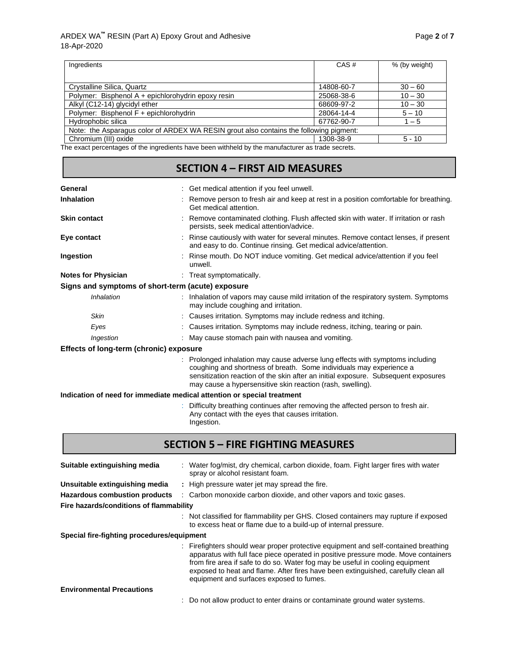| Ingredients                                                                                      | CAS#       | % (by weight) |
|--------------------------------------------------------------------------------------------------|------------|---------------|
|                                                                                                  |            |               |
| Crystalline Silica, Quartz                                                                       | 14808-60-7 | $30 - 60$     |
| Polymer: Bisphenol A + epichlorohydrin epoxy resin                                               | 25068-38-6 | $10 - 30$     |
| Alkyl (C12-14) glycidyl ether                                                                    | 68609-97-2 | $10 - 30$     |
| Polymer: Bisphenol F + epichlorohydrin                                                           | 28064-14-4 | $5 - 10$      |
| Hydrophobic silica                                                                               | 67762-90-7 | $1 - 5$       |
| Note: the Asparagus color of ARDEX WA RESIN grout also contains the following pigment:           |            |               |
| Chromium (III) oxide                                                                             | 1308-38-9  | $5 - 10$      |
| The exact perceptages of the ingredients have been withhold by the manufacturer as trade secrets |            |               |

The exact percentages of the ingredients have been withheld by the manufacturer as trade secrets.

| <b>SECTION 4 - FIRST AID MEASURES</b>             |                                                                                                                                                                                                                                                                                                                                                  |  |  |
|---------------------------------------------------|--------------------------------------------------------------------------------------------------------------------------------------------------------------------------------------------------------------------------------------------------------------------------------------------------------------------------------------------------|--|--|
|                                                   |                                                                                                                                                                                                                                                                                                                                                  |  |  |
| General                                           | : Get medical attention if you feel unwell.                                                                                                                                                                                                                                                                                                      |  |  |
| <b>Inhalation</b>                                 | Remove person to fresh air and keep at rest in a position comfortable for breathing.<br>Get medical attention.                                                                                                                                                                                                                                   |  |  |
| <b>Skin contact</b>                               | : Remove contaminated clothing. Flush affected skin with water. If irritation or rash<br>persists, seek medical attention/advice.                                                                                                                                                                                                                |  |  |
| Eye contact                                       | : Rinse cautiously with water for several minutes. Remove contact lenses, if present<br>and easy to do. Continue rinsing. Get medical advice/attention.                                                                                                                                                                                          |  |  |
| Ingestion                                         | : Rinse mouth. Do NOT induce vomiting. Get medical advice/attention if you feel<br>unwell.                                                                                                                                                                                                                                                       |  |  |
| <b>Notes for Physician</b>                        | : Treat symptomatically.                                                                                                                                                                                                                                                                                                                         |  |  |
| Signs and symptoms of short-term (acute) exposure |                                                                                                                                                                                                                                                                                                                                                  |  |  |
| Inhalation                                        | : Inhalation of vapors may cause mild irritation of the respiratory system. Symptoms<br>may include coughing and irritation.                                                                                                                                                                                                                     |  |  |
| Skin                                              | : Causes irritation. Symptoms may include redness and itching.                                                                                                                                                                                                                                                                                   |  |  |
| Eyes                                              | : Causes irritation. Symptoms may include redness, itching, tearing or pain.                                                                                                                                                                                                                                                                     |  |  |
| Ingestion                                         | : May cause stomach pain with nausea and vomiting.                                                                                                                                                                                                                                                                                               |  |  |
| Effects of long-term (chronic) exposure           |                                                                                                                                                                                                                                                                                                                                                  |  |  |
|                                                   | Prolonged inhalation may cause adverse lung effects with symptoms including<br>coughing and shortness of breath. Some individuals may experience a<br>sensitization reaction of the skin after an initial exposure. Subsequent exposures<br>may cause a hypersensitive skin reaction (rash, swelling).                                           |  |  |
|                                                   | Indication of need for immediate medical attention or special treatment                                                                                                                                                                                                                                                                          |  |  |
|                                                   | Difficulty breathing continues after removing the affected person to fresh air.<br>Any contact with the eyes that causes irritation.<br>Ingestion.                                                                                                                                                                                               |  |  |
|                                                   | <b>SECTION 5 - FIRE FIGHTING MEASURES</b>                                                                                                                                                                                                                                                                                                        |  |  |
| Suitable extinguishing media                      | : Water fog/mist, dry chemical, carbon dioxide, foam. Fight larger fires with water<br>spray or alcohol resistant foam.                                                                                                                                                                                                                          |  |  |
| Unsuitable extinguishing media                    | : High pressure water jet may spread the fire.                                                                                                                                                                                                                                                                                                   |  |  |
| <b>Hazardous combustion products</b>              | : Carbon monoxide carbon dioxide, and other vapors and toxic gases.                                                                                                                                                                                                                                                                              |  |  |
| Fire hazards/conditions of flammability           |                                                                                                                                                                                                                                                                                                                                                  |  |  |
|                                                   | : Not classified for flammability per GHS. Closed containers may rupture if exposed<br>to excess heat or flame due to a build-up of internal pressure.                                                                                                                                                                                           |  |  |
| Special fire-fighting procedures/equipment        |                                                                                                                                                                                                                                                                                                                                                  |  |  |
|                                                   | : Firefighters should wear proper protective equipment and self-contained breathing<br>apparatus with full face piece operated in positive pressure mode. Move containers<br>from fire area if safe to do so. Water fog may be useful in cooling equipment<br>exposed to heat and flame. After fires have been extinguished, carefully clean all |  |  |

#### : Do not allow product to enter drains or contaminate ground water systems.

equipment and surfaces exposed to fumes.

**Environmental Precautions**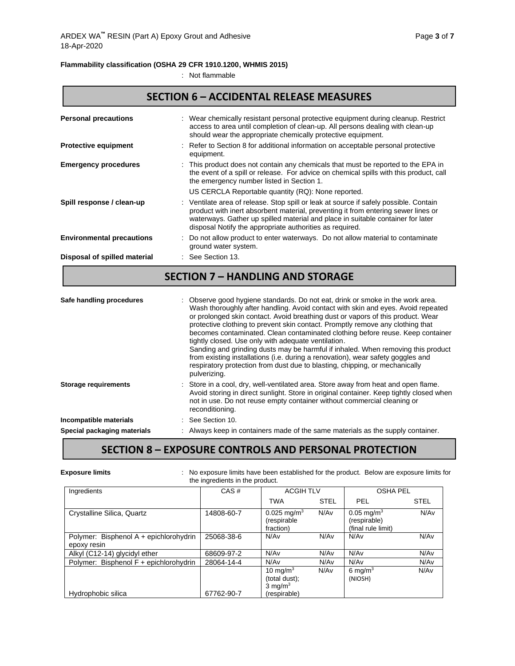#### **Flammability classification (OSHA 29 CFR 1910.1200, WHMIS 2015)**

: Not flammable

### **SECTION 6 – ACCIDENTAL RELEASE MEASURES**

| <b>Personal precautions</b>      | : Wear chemically resistant personal protective equipment during cleanup. Restrict<br>access to area until completion of clean-up. All persons dealing with clean-up<br>should wear the appropriate chemically protective equipment.                                                                                                                                                                                                                                                                                                                                                                                                                                                                                                                 |
|----------------------------------|------------------------------------------------------------------------------------------------------------------------------------------------------------------------------------------------------------------------------------------------------------------------------------------------------------------------------------------------------------------------------------------------------------------------------------------------------------------------------------------------------------------------------------------------------------------------------------------------------------------------------------------------------------------------------------------------------------------------------------------------------|
| <b>Protective equipment</b>      | Refer to Section 8 for additional information on acceptable personal protective<br>equipment.                                                                                                                                                                                                                                                                                                                                                                                                                                                                                                                                                                                                                                                        |
| <b>Emergency procedures</b>      | This product does not contain any chemicals that must be reported to the EPA in<br>the event of a spill or release. For advice on chemical spills with this product, call<br>the emergency number listed in Section 1.                                                                                                                                                                                                                                                                                                                                                                                                                                                                                                                               |
|                                  | US CERCLA Reportable quantity (RQ): None reported.                                                                                                                                                                                                                                                                                                                                                                                                                                                                                                                                                                                                                                                                                                   |
| Spill response / clean-up        | Ventilate area of release. Stop spill or leak at source if safely possible. Contain<br>product with inert absorbent material, preventing it from entering sewer lines or<br>waterways. Gather up spilled material and place in suitable container for later<br>disposal Notify the appropriate authorities as required.                                                                                                                                                                                                                                                                                                                                                                                                                              |
| <b>Environmental precautions</b> | Do not allow product to enter waterways. Do not allow material to contaminate<br>ground water system.                                                                                                                                                                                                                                                                                                                                                                                                                                                                                                                                                                                                                                                |
| Disposal of spilled material     | : See Section 13.                                                                                                                                                                                                                                                                                                                                                                                                                                                                                                                                                                                                                                                                                                                                    |
|                                  | <b>SECTION 7 - HANDLING AND STORAGE</b>                                                                                                                                                                                                                                                                                                                                                                                                                                                                                                                                                                                                                                                                                                              |
| Safe handling procedures         | Observe good hygiene standards. Do not eat, drink or smoke in the work area.<br>Wash thoroughly after handling. Avoid contact with skin and eyes. Avoid repeated<br>or prolonged skin contact. Avoid breathing dust or vapors of this product. Wear<br>protective clothing to prevent skin contact. Promptly remove any clothing that<br>becomes contaminated. Clean contaminated clothing before reuse. Keep container<br>tightly closed. Use only with adequate ventilation.<br>Sanding and grinding dusts may be harmful if inhaled. When removing this product<br>from existing installations (i.e. during a renovation), wear safety goggles and<br>respiratory protection from dust due to blasting, chipping, or mechanically<br>pulverizing. |
| <b>Storage requirements</b>      | Store in a cool, dry, well-ventilated area. Store away from heat and open flame.<br>Avoid storing in direct sunlight. Store in original container. Keep tightly closed when<br>not in use. Do not reuse empty container without commercial cleaning or<br>reconditioning.                                                                                                                                                                                                                                                                                                                                                                                                                                                                            |
| Incompatible materials           | See Section 10.                                                                                                                                                                                                                                                                                                                                                                                                                                                                                                                                                                                                                                                                                                                                      |
| Special packaging materials      | : Always keep in containers made of the same materials as the supply container.                                                                                                                                                                                                                                                                                                                                                                                                                                                                                                                                                                                                                                                                      |

# **SECTION 8 – EXPOSURE CONTROLS AND PERSONAL PROTECTION**

### **Exposure limits** : No exposure limits have been established for the product. Below are exposure limits for the ingredients in the product.

| Ingredients                                           | CAS#       | <b>ACGIH TLV</b>                                                   |             | <b>OSHA PEL</b>                                                |             |
|-------------------------------------------------------|------------|--------------------------------------------------------------------|-------------|----------------------------------------------------------------|-------------|
|                                                       |            | <b>TWA</b>                                                         | <b>STEL</b> | PEL                                                            | <b>STEL</b> |
| Crystalline Silica, Quartz                            | 14808-60-7 | $0.025 \text{ mg/m}^3$<br>(respirable)<br>fraction)                | N/Av        | $0.05 \,\mathrm{mq/m^3}$<br>(respirable)<br>(final rule limit) | N/Av        |
| Polymer: Bisphenol A + epichlorohydrin<br>epoxy resin | 25068-38-6 | N/Av                                                               | N/Av        | N/Av                                                           | N/Av        |
| Alkyl (C12-14) glycidyl ether                         | 68609-97-2 | N/Av                                                               | N/Av        | N/Av                                                           | N/Av        |
| Polymer: Bisphenol F + epichlorohydrin                | 28064-14-4 | N/Av                                                               | N/Av        | N/Av                                                           | N/Av        |
| Hydrophobic silica                                    | 67762-90-7 | 10 mg/m $3$<br>(total dust);<br>$3 \text{ mg/m}^3$<br>(respirable) | N/Av        | 6 mg/m $3$<br>(NIOSH)                                          | N/Av        |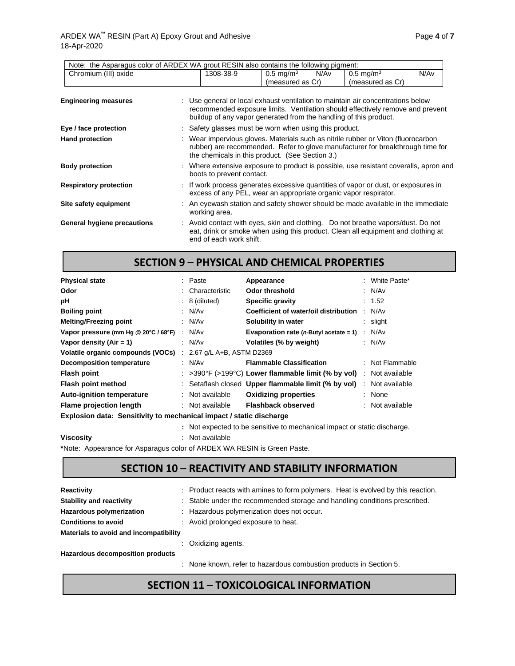| Note: the Asparagus color of ARDEX WA grout RESIN also contains the following pigment: |                           |                                                                   |                                                                                                                                                                     |      |
|----------------------------------------------------------------------------------------|---------------------------|-------------------------------------------------------------------|---------------------------------------------------------------------------------------------------------------------------------------------------------------------|------|
| Chromium (III) oxide                                                                   | 1308-38-9                 | $0.5 \,\mathrm{mg/m^3}$<br>N/Av<br>(measured as Cr)               | $0.5 \,\mathrm{mg/m^3}$<br>(measured as Cr)                                                                                                                         | N/Av |
| <b>Engineering measures</b>                                                            |                           | buildup of any vapor generated from the handling of this product. | : Use general or local exhaust ventilation to maintain air concentrations below<br>recommended exposure limits. Ventilation should effectively remove and prevent   |      |
| Eye / face protection                                                                  |                           | : Safety glasses must be worn when using this product.            |                                                                                                                                                                     |      |
| <b>Hand protection</b>                                                                 |                           | the chemicals in this product. (See Section 3.)                   | : Wear impervious gloves. Materials such as nitrile rubber or Viton (fluorocarbon<br>rubber) are recommended. Refer to glove manufacturer for breakthrough time for |      |
| <b>Body protection</b>                                                                 | boots to prevent contact. |                                                                   | : Where extensive exposure to product is possible, use resistant coveralls, apron and                                                                               |      |
| <b>Respiratory protection</b>                                                          |                           | excess of any PEL, wear an appropriate organic vapor respirator.  | : If work process generates excessive quantities of vapor or dust, or exposures in                                                                                  |      |
| Site safety equipment                                                                  | working area.             |                                                                   | An eyewash station and safety shower should be made available in the immediate                                                                                      |      |
| General hygiene precautions                                                            | end of each work shift.   |                                                                   | Avoid contact with eyes, skin and clothing. Do not breathe vapors/dust. Do not<br>eat, drink or smoke when using this product. Clean all equipment and clothing at  |      |

#### **SECTION 9 – PHYSICAL AND CHEMICAL PROPERTIES**

| <b>Physical state</b>                                               |  | : Paste                  | Appearance                                                                              |  | : White Paste*  |
|---------------------------------------------------------------------|--|--------------------------|-----------------------------------------------------------------------------------------|--|-----------------|
| Odor                                                                |  | : Characteristic         | Odor threshold                                                                          |  | : N/Av          |
| рH                                                                  |  | $: 8$ (diluted)          | <b>Specific gravity</b>                                                                 |  | : 1.52          |
| <b>Boiling point</b>                                                |  | : $N/Av$                 | Coefficient of water/oil distribution                                                   |  | : N/Av          |
| <b>Melting/Freezing point</b>                                       |  | : N/Av                   | Solubility in water                                                                     |  | $:$ slight      |
| Vapor pressure (mm Hg @ 20°C / 68°F)                                |  | : N/Av                   | <b>Evaporation rate (n-Butyl acetate = 1)</b> $\therefore$ N/Av                         |  |                 |
| Vapor density $(Air = 1)$                                           |  | : N/Av                   | Volatiles (% by weight)                                                                 |  | : N/Av          |
| Volatile organic compounds (VOCs)                                   |  | 2.67 g/L A+B, ASTM D2369 |                                                                                         |  |                 |
| <b>Decomposition temperature</b>                                    |  | : N/Av                   | <b>Flammable Classification</b>                                                         |  | : Not Flammable |
| <b>Flash point</b>                                                  |  |                          | : $>390^{\circ}$ F ( $>199^{\circ}$ C) Lower flammable limit (% by vol) : Not available |  |                 |
| Flash point method                                                  |  |                          | : Setaflash closed Upper flammable limit (% by vol)                                     |  | : Not available |
| <b>Auto-ignition temperature</b>                                    |  | : Not available          | <b>Oxidizing properties</b>                                                             |  | : None          |
| <b>Flame projection length</b>                                      |  | : Not available          | Flashback observed                                                                      |  | : Not available |
| Explosion data: Sensitivity to mechanical impact / static discharge |  |                          |                                                                                         |  |                 |

**:** Not expected to be sensitive to mechanical impact or static discharge.

**Viscosity** : Not available

**\***Note: Appearance for Asparagus color of ARDEX WA RESIN is Green Paste.

# **SECTION 10 – REACTIVITY AND STABILITY INFORMATION**

| <b>Reactivity</b>                      | : Product reacts with amines to form polymers. Heat is evolved by this reaction. |
|----------------------------------------|----------------------------------------------------------------------------------|
| <b>Stability and reactivity</b>        | : Stable under the recommended storage and handling conditions prescribed.       |
| Hazardous polymerization               | : Hazardous polymerization does not occur.                                       |
| <b>Conditions to avoid</b>             | : Avoid prolonged exposure to heat.                                              |
| Materials to avoid and incompatibility |                                                                                  |
|                                        | : Oxidizing agents.                                                              |
| Hazardous decomposition products       |                                                                                  |
|                                        | : None known, refer to hazardous combustion products in Section 5.               |

# **SECTION 11 – TOXICOLOGICAL INFORMATION**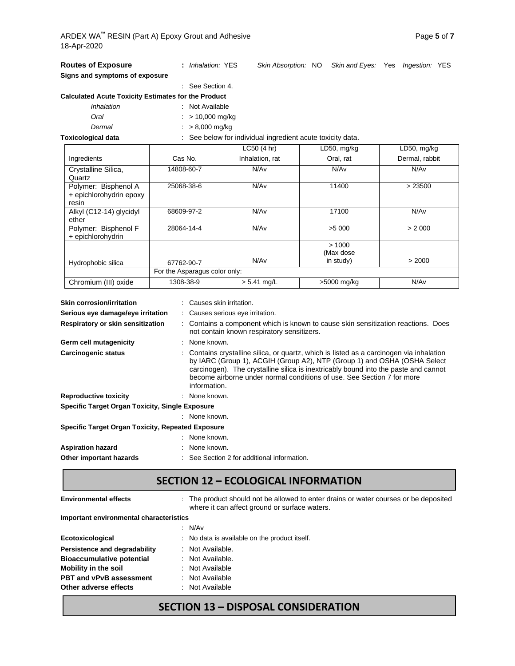| <b>Routes of Exposure</b>                                                                                                                                                                                                                                                                                                                                                  | : Inhalation: YES                           | Skin Absorption: NO                                      |                                                                                   | Skin and Eyes: Yes Ingestion: YES |  |  |
|----------------------------------------------------------------------------------------------------------------------------------------------------------------------------------------------------------------------------------------------------------------------------------------------------------------------------------------------------------------------------|---------------------------------------------|----------------------------------------------------------|-----------------------------------------------------------------------------------|-----------------------------------|--|--|
| Signs and symptoms of exposure                                                                                                                                                                                                                                                                                                                                             |                                             |                                                          |                                                                                   |                                   |  |  |
|                                                                                                                                                                                                                                                                                                                                                                            | See Section 4.                              |                                                          |                                                                                   |                                   |  |  |
| <b>Calculated Acute Toxicity Estimates for the Product</b>                                                                                                                                                                                                                                                                                                                 |                                             |                                                          |                                                                                   |                                   |  |  |
| Inhalation                                                                                                                                                                                                                                                                                                                                                                 | : Not Available                             |                                                          |                                                                                   |                                   |  |  |
| Oral                                                                                                                                                                                                                                                                                                                                                                       | $: > 10,000$ mg/kg                          |                                                          |                                                                                   |                                   |  |  |
| Dermal                                                                                                                                                                                                                                                                                                                                                                     | $: > 8,000$ mg/kg                           |                                                          |                                                                                   |                                   |  |  |
| <b>Toxicological data</b>                                                                                                                                                                                                                                                                                                                                                  |                                             | See below for individual ingredient acute toxicity data. |                                                                                   |                                   |  |  |
|                                                                                                                                                                                                                                                                                                                                                                            |                                             | LC50 (4 hr)                                              | LD50, mg/kg                                                                       | LD50, mg/kg                       |  |  |
| Ingredients                                                                                                                                                                                                                                                                                                                                                                | Cas No.                                     | Inhalation, rat                                          | Oral, rat                                                                         | Dermal, rabbit                    |  |  |
| Crystalline Silica,<br>Quartz                                                                                                                                                                                                                                                                                                                                              | 14808-60-7                                  | N/Av                                                     | N/Av                                                                              | N/Av                              |  |  |
| Polymer: Bisphenol A<br>+ epichlorohydrin epoxy<br>resin                                                                                                                                                                                                                                                                                                                   | 25068-38-6                                  | N/Av                                                     | 11400                                                                             | > 23500                           |  |  |
| Alkyl (C12-14) glycidyl<br>ether                                                                                                                                                                                                                                                                                                                                           | 68609-97-2                                  | N/Av                                                     | 17100                                                                             | N/Av                              |  |  |
| Polymer: Bisphenol F<br>+ epichlorohydrin                                                                                                                                                                                                                                                                                                                                  | 28064-14-4                                  | N/Av                                                     | >5 000                                                                            | > 2000                            |  |  |
| Hydrophobic silica                                                                                                                                                                                                                                                                                                                                                         | 67762-90-7                                  | N/Av                                                     | >1000<br>(Max dose<br>in study)                                                   | > 2000                            |  |  |
|                                                                                                                                                                                                                                                                                                                                                                            | For the Asparagus color only:               |                                                          |                                                                                   |                                   |  |  |
| Chromium (III) oxide                                                                                                                                                                                                                                                                                                                                                       | 1308-38-9                                   | $> 5.41$ mg/L                                            | >5000 mg/kg                                                                       | N/Av                              |  |  |
| <b>Skin corrosion/irritation</b>                                                                                                                                                                                                                                                                                                                                           | : Causes skin irritation.                   |                                                          |                                                                                   |                                   |  |  |
| Serious eye damage/eye irritation                                                                                                                                                                                                                                                                                                                                          |                                             | : Causes serious eye irritation.                         |                                                                                   |                                   |  |  |
| Respiratory or skin sensitization                                                                                                                                                                                                                                                                                                                                          |                                             | not contain known respiratory sensitizers.               | : Contains a component which is known to cause skin sensitization reactions. Does |                                   |  |  |
| Germ cell mutagenicity                                                                                                                                                                                                                                                                                                                                                     | : None known.                               |                                                          |                                                                                   |                                   |  |  |
| Contains crystalline silica, or quartz, which is listed as a carcinogen via inhalation<br>Carcinogenic status<br>by IARC (Group 1), ACGIH (Group A2), NTP (Group 1) and OSHA (OSHA Select<br>carcinogen). The crystalline silica is inextricably bound into the paste and cannot<br>become airborne under normal conditions of use. See Section 7 for more<br>information. |                                             |                                                          |                                                                                   |                                   |  |  |
| <b>Reproductive toxicity</b>                                                                                                                                                                                                                                                                                                                                               | : None known.                               |                                                          |                                                                                   |                                   |  |  |
| <b>Specific Target Organ Toxicity, Single Exposure</b>                                                                                                                                                                                                                                                                                                                     |                                             |                                                          |                                                                                   |                                   |  |  |
|                                                                                                                                                                                                                                                                                                                                                                            | : None known.                               |                                                          |                                                                                   |                                   |  |  |
| <b>Specific Target Organ Toxicity, Repeated Exposure</b>                                                                                                                                                                                                                                                                                                                   |                                             |                                                          |                                                                                   |                                   |  |  |
|                                                                                                                                                                                                                                                                                                                                                                            | None known.                                 |                                                          |                                                                                   |                                   |  |  |
| <b>Aspiration hazard</b>                                                                                                                                                                                                                                                                                                                                                   | None known.                                 |                                                          |                                                                                   |                                   |  |  |
| Other important hazards                                                                                                                                                                                                                                                                                                                                                    | : See Section 2 for additional information. |                                                          |                                                                                   |                                   |  |  |

#### **SECTION 12 – ECOLOGICAL INFORMATION**

Environmental effects : The product should not be allowed to enter drains or water courses or be deposited where it can affect ground or surface waters.

**Important environmental characteristics**

|                                  | : $N/Av$                                      |
|----------------------------------|-----------------------------------------------|
| Ecotoxicological                 | : No data is available on the product itself. |
| Persistence and degradability    | : Not Available.                              |
| <b>Bioaccumulative potential</b> | : Not Available.                              |
| Mobility in the soil             | : Not Available                               |
| <b>PBT and vPvB assessment</b>   | : Not Available                               |
| Other adverse effects            | : Not Available                               |
|                                  |                                               |

# **SECTION 13 – DISPOSAL CONSIDERATION**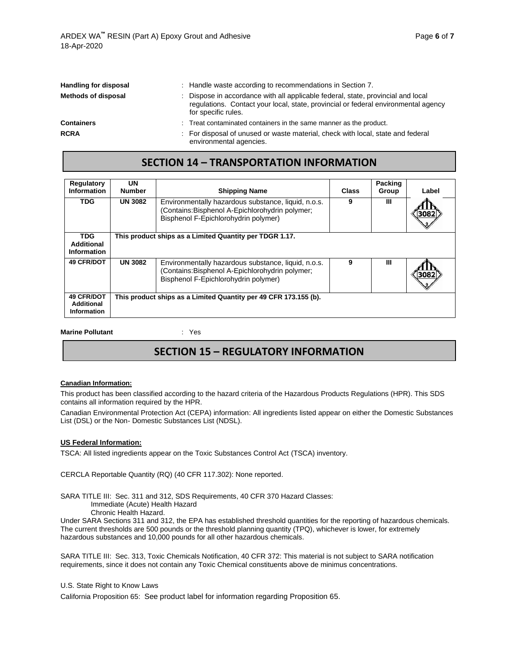| <b>Handling for disposal</b> | : Handle waste according to recommendations in Section 7.                                                                                                                                     |
|------------------------------|-----------------------------------------------------------------------------------------------------------------------------------------------------------------------------------------------|
| <b>Methods of disposal</b>   | : Dispose in accordance with all applicable federal, state, provincial and local<br>regulations. Contact your local, state, provincial or federal environmental agency<br>for specific rules. |
| <b>Containers</b>            | : Treat contaminated containers in the same manner as the product.                                                                                                                            |
| <b>RCRA</b>                  | : For disposal of unused or waste material, check with local, state and federal<br>environmental agencies.                                                                                    |

#### **SECTION 14 – TRANSPORTATION INFORMATION**

| <b>Regulatory</b><br>Information                             | UN<br><b>Number</b> | <b>Shipping Name</b>                                                                                                                          | Class | <b>Packing</b><br>Group | Label |
|--------------------------------------------------------------|---------------------|-----------------------------------------------------------------------------------------------------------------------------------------------|-------|-------------------------|-------|
| TDG                                                          | <b>UN 3082</b>      | Environmentally hazardous substance, liquid, n.o.s.<br>(Contains:Bisphenol A-Epichlorohydrin polymer;<br>Bisphenol F-Epichlorohydrin polymer) | 9     | Ш                       | 3082  |
| <b>TDG</b><br>Additional<br><b>Information</b>               |                     | This product ships as a Limited Quantity per TDGR 1.17.                                                                                       |       |                         |       |
| <b>49 CFR/DOT</b>                                            | <b>UN 3082</b>      | Environmentally hazardous substance, liquid, n.o.s.<br>(Contains:Bisphenol A-Epichlorohydrin polymer;<br>Bisphenol F-Epichlorohydrin polymer) | 9     | ш                       | 3082  |
| <b>49 CFR/DOT</b><br><b>Additional</b><br><b>Information</b> |                     | This product ships as a Limited Quantity per 49 CFR 173.155 (b).                                                                              |       |                         |       |

**Marine Pollutant Contract Executes** in the Yes

#### **SECTION 15 – REGULATORY INFORMATION**

#### **Canadian Information:**

This product has been classified according to the hazard criteria of the Hazardous Products Regulations (HPR). This SDS contains all information required by the HPR.

Canadian Environmental Protection Act (CEPA) information: All ingredients listed appear on either the Domestic Substances List (DSL) or the Non- Domestic Substances List (NDSL).

#### **US Federal Information:**

TSCA: All listed ingredients appear on the Toxic Substances Control Act (TSCA) inventory.

CERCLA Reportable Quantity (RQ) (40 CFR 117.302): None reported.

SARA TITLE III: Sec. 311 and 312, SDS Requirements, 40 CFR 370 Hazard Classes:

Immediate (Acute) Health Hazard

Chronic Health Hazard.

Under SARA Sections 311 and 312, the EPA has established threshold quantities for the reporting of hazardous chemicals. The current thresholds are 500 pounds or the threshold planning quantity (TPQ), whichever is lower, for extremely hazardous substances and 10,000 pounds for all other hazardous chemicals.

SARA TITLE III: Sec. 313, Toxic Chemicals Notification, 40 CFR 372: This material is not subject to SARA notification requirements, since it does not contain any Toxic Chemical constituents above de minimus concentrations.

U.S. State Right to Know Laws

California Proposition 65: See product label for information regarding Proposition 65.